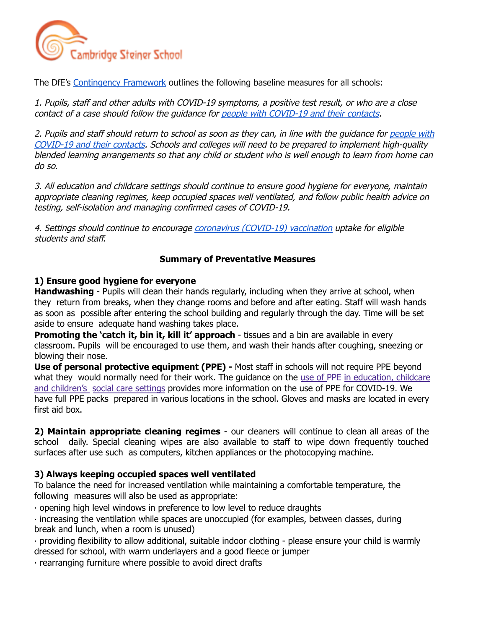

The DfE's [Contingency](https://assets.publishing.service.gov.uk/government/uploads/system/uploads/attachment_data/file/1057141/Contingency_framework_education_and_childcare_settings_February_2022.pdf) Framework outlines the following baseline measures for all schools:

1. Pupils, staff and other adults with COVID-19 symptoms, <sup>a</sup> positive test result, or who are <sup>a</sup> close contact of a case should follow the guidance for people with [COVID-19](https://www.gov.uk/government/publications/covid-19-people-with-covid-19-and-their-contacts) and their contacts.

2. Pupils and staff should return to school as soon as they can, in line with the guidance for [people](https://www.gov.uk/government/publications/covid-19-people-with-covid-19-and-their-contacts) with [COVID-19](https://www.gov.uk/government/publications/covid-19-people-with-covid-19-and-their-contacts) and their contacts. Schools and colleges will need to be prepared to implement high-quality blended learning arrangements so that any child or student who is well enough to learn from home can do so.

3. All education and childcare settings should continue to ensure good hygiene for everyone, maintain appropriate cleaning regimes, keep occupied spaces well ventilated, and follow public health advice on testing, self-isolation and managing confirmed cases of COVID-19.

4. Settings should continue to encourage coronavirus [\(COVID-19\)](https://www.nhs.uk/conditions/coronavirus-covid-19/coronavirus-vaccination/) vaccination uptake for eligible students and staff.

## **Summary of Preventative Measures**

## **1) Ensure good hygiene for everyone**

**Handwashing** - Pupils will clean their hands regularly, including when they arrive at school, when they return from breaks, when they change rooms and before and after eating. Staff will wash hands as soon as possible after entering the school building and regularly through the day. Time will be set aside to ensure adequate hand washing takes place.

**Promoting the 'catch it, bin it, kill it' approach** - tissues and a bin are available in every classroom. Pupils will be encouraged to use them, and wash their hands after coughing, sneezing or blowing their nose.

**Use of personal protective equipment (PPE) -** Most staff in schools will not require PPE beyond what they would normally need for their work. The quidance on the use of PPE in education, childcare and children's social care settings provides more information on the use of PPE for COVID-19. We have full PPE packs prepared in various locations in the school. Gloves and masks are located in every first aid box.

**2) Maintain appropriate cleaning regimes** - our cleaners will continue to clean all areas of the school daily. Special cleaning wipes are also available to staff to wipe down frequently touched surfaces after use such as computers, kitchen appliances or the photocopying machine.

## **3) Always keeping occupied spaces well ventilated**

To balance the need for increased ventilation while maintaining a comfortable temperature, the following measures will also be used as appropriate:

∙ opening high level windows in preference to low level to reduce draughts

∙ increasing the ventilation while spaces are unoccupied (for examples, between classes, during break and lunch, when a room is unused)

∙ providing flexibility to allow additional, suitable indoor clothing - please ensure your child is warmly dressed for school, with warm underlayers and a good fleece or jumper

∙ rearranging furniture where possible to avoid direct drafts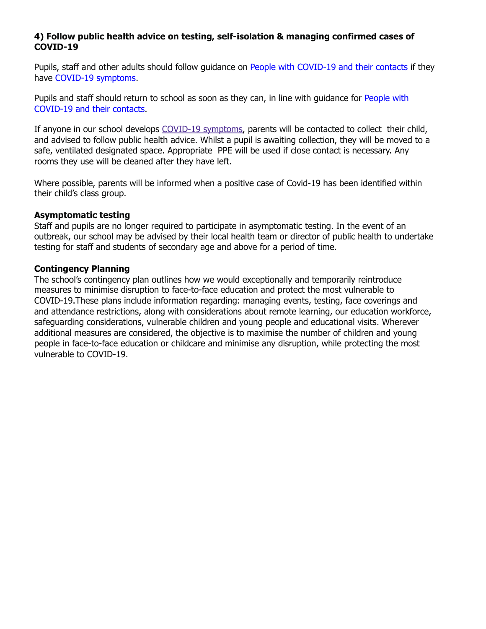# **4) Follow public health advice on testing, self-isolation & managing confirmed cases of COVID-19**

Pupils, staff and other adults should follow guidance on People with COVID-19 and their contacts if they have COVID-19 symptoms.

Pupils and staff should return to school as soon as they can, in line with guidance for People with COVID-19 and their contacts.

If anyone in our school develops COVID-19 symptoms, parents will be contacted to collect their child, and advised to follow public health advice. Whilst a pupil is awaiting collection, they will be moved to a safe, ventilated designated space. Appropriate PPE will be used if close contact is necessary. Any rooms they use will be cleaned after they have left.

Where possible, parents will be informed when a positive case of Covid-19 has been identified within their child's class group.

## **Asymptomatic testing**

Staff and pupils are no longer required to participate in asymptomatic testing. In the event of an outbreak, our school may be advised by their local health team or director of public health to undertake testing for staff and students of secondary age and above for a period of time.

## **Contingency Planning**

The school's contingency plan outlines how we would exceptionally and temporarily reintroduce measures to minimise disruption to face-to-face education and protect the most vulnerable to COVID-19.These plans include information regarding: managing events, testing, face coverings and and attendance restrictions, along with considerations about remote learning, our education workforce, safeguarding considerations, vulnerable children and young people and educational visits. Wherever additional measures are considered, the objective is to maximise the number of children and young people in face-to-face education or childcare and minimise any disruption, while protecting the most vulnerable to COVID-19.